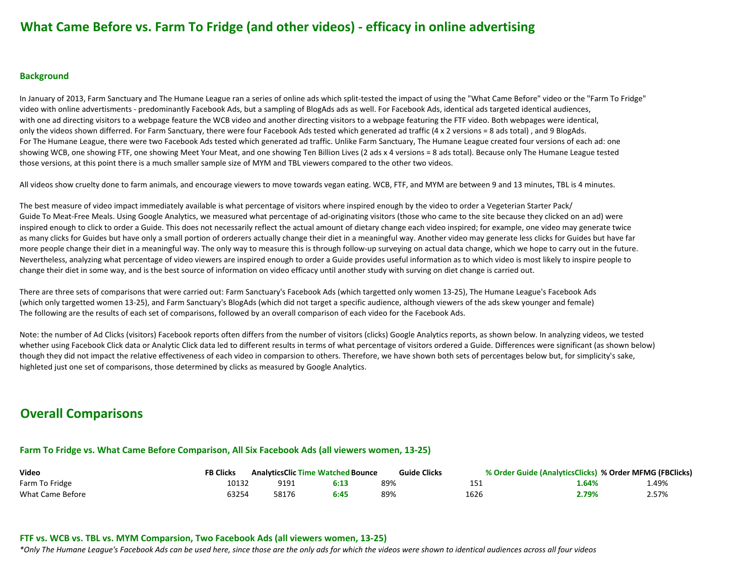# **What Came Before vs. Farm To Fridge (and other videos) - efficacy in online advertising**

#### **Background**

In January of 2013, Farm Sanctuary and The Humane League ran a series of online ads which split-tested the impact of using the "What Came Before" video or the "Farm To Fridge" video with online advertisments - predominantly Facebook Ads, but a sampling of BlogAds ads as well. For Facebook Ads, identical ads targeted identical audiences, with one ad directing visitors to a webpage feature the WCB video and another directing visitors to a webpage featuring the FTF video. Both webpages were identical, only the videos shown differred. For Farm Sanctuary, there were four Facebook Ads tested which generated ad traffic (4 x 2 versions = 8 ads total), and 9 BlogAds. For The Humane League, there were two Facebook Ads tested which generated ad traffic. Unlike Farm Sanctuary, The Humane League created four versions of each ad: one showing WCB, one showing FTF, one showing Meet Your Meat, and one showing Ten Billion Lives (2 ads x 4 versions = 8 ads total). Because only The Humane League tested those versions, at this point there is a much smaller sample size of MYM and TBL viewers compared to the other two videos.

All videos show cruelty done to farm animals, and encourage viewers to move towards vegan eating. WCB, FTF, and MYM are between 9 and 13 minutes, TBL is 4 minutes.

The best measure of video impact immediately available is what percentage of visitors where inspired enough by the video to order a Vegeterian Starter Pack/ Guide To Meat-Free Meals. Using Google Analytics, we measured what percentage of ad-originating visitors (those who came to the site because they clicked on an ad) were inspired enough to click to order a Guide. This does not necessarily reflect the actual amount of dietary change each video inspired; for example, one video may generate twice as many clicks for Guides but have only a small portion of orderers actually change their diet in a meaningful way. Another video may generate less clicks for Guides but have far more people change their diet in a meaningful way. The only way to measure this is through follow-up surveying on actual data change, which we hope to carry out in the future. Nevertheless, analyzing what percentage of video viewers are inspired enough to order a Guide provides useful information as to which video is most likely to inspire people to change their diet in some way, and is the best source of information on video efficacy until another study with surving on diet change is carried out.

There are three sets of comparisons that were carried out: Farm Sanctuary's Facebook Ads (which targetted only women 13-25), The Humane League's Facebook Ads (which only targetted women 13-25), and Farm Sanctuary's BlogAds (which did not target a specific audience, although viewers of the ads skew younger and female) The following are the results of each set of comparisons, followed by an overall comparison of each video for the Facebook Ads.

Note: the number of Ad Clicks (visitors) Facebook reports often differs from the number of visitors (clicks) Google Analytics reports, as shown below. In analyzing videos, we tested whether using Facebook Click data or Analytic Click data led to different results in terms of what percentage of visitors ordered a Guide. Differences were significant (as shown below) though they did not impact the relative effectiveness of each video in comparsion to others. Therefore, we have shown both sets of percentages below but, for simplicity's sake, highleted just one set of comparisons, those determined by clicks as measured by Google Analytics.

# **Overall Comparisons**

### Farm To Fridge vs. What Came Before Comparison, All Six Facebook Ads (all viewers women, 13-25)

| Video            | FB Clicks | <b>AnalyticsClic Time Watched Bounce</b> |      | <b>Guide Clicks</b> |      | % Order Guide (AnalyticsClicks) % Order MFMG (FBClicks) |       |
|------------------|-----------|------------------------------------------|------|---------------------|------|---------------------------------------------------------|-------|
| Farm To Fridge   | 10132     | 9191                                     | 6:13 | 89%                 |      | l.64%                                                   | 4.49% |
| What Came Before | 53254     | 58176                                    | 6:45 | 89%                 | 1626 | ?.79%                                                   | 2.57% |

### **FTF vs. WCB vs. TBL vs. MYM Comparsion, Two Facebook Ads (all viewers women, 13-25)**

*\*Only&The&Humane&League's&Facebook&Ads&can&be&used&here,&since&those&are&the&only&ads&for&which&the&videos&were&shown&to&identical&audiences&across&all&four&videos*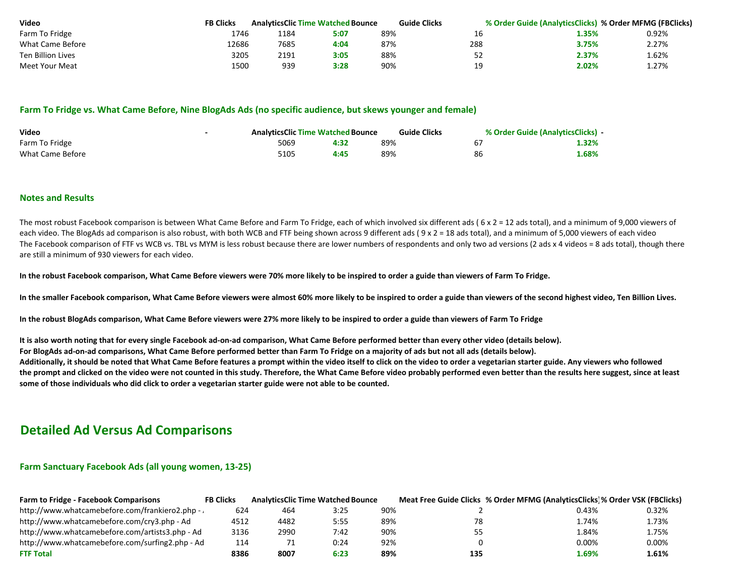| Video                    | <b>FB Clicks</b> |      | <b>AnalyticsClic Time Watched Bounce</b> | <b>Guide Clicks</b> |     | % Order Guide (AnalyticsClicks) % Order MFMG (FBClicks) |       |
|--------------------------|------------------|------|------------------------------------------|---------------------|-----|---------------------------------------------------------|-------|
| Farm To Fridge           | 1746             | 1184 | 5:07                                     | 89%                 |     | 1.35%                                                   | 0.92% |
| What Came Before         | !2686            | 7685 | 4:04                                     | 87%                 | 288 | 3.75%                                                   | 2.27% |
| <b>Ten Billion Lives</b> | 3205             | 2191 | 3:05                                     | 88%                 |     | 2.37%                                                   | 1.62% |
| Meet Your Meat           | 1500             | 939  | 3:28                                     | 90%                 | 10  | 2.02%                                                   | 27%.  |

#### Farm To Fridge vs. What Came Before, Nine BlogAds Ads (no specific audience, but skews younger and female)

| Video            | <b>AnalyticsClic Time Watched Bounce</b> |      | <b>Guide Clicks</b> | % Order Guide (AnalyticsClicks) - |       |
|------------------|------------------------------------------|------|---------------------|-----------------------------------|-------|
| Farm To Fridge   | 5069                                     |      | 89%                 |                                   | 1.32% |
| What Came Before | 5105                                     | 4:45 | 89%                 | 86                                | 1.68% |

#### **Notes and Results**

The most robust Facebook comparison is between What Came Before and Farm To Fridge, each of which involved six different ads ( $6 \times 2 = 12$  ads total), and a minimum of 9,000 viewers of each video. The BlogAds ad comparison is also robust, with both WCB and FTF being shown across 9 different ads (  $9 \times 2 = 18$  ads total), and a minimum of 5,000 viewers of each video The Facebook comparison of FTF vs WCB vs. TBL vs MYM is less robust because there are lower numbers of respondents and only two ad versions (2 ads x 4 videos = 8 ads total), though there are still a minimum of 930 viewers for each video.

In the robust Facebook comparison, What Came Before viewers were 70% more likely to be inspired to order a guide than viewers of Farm To Fridge.

In the smaller Facebook comparison, What Came Before viewers were almost 60% more likely to be inspired to order a guide than viewers of the second highest video, Ten Billion Lives.

In the robust BlogAds comparison, What Came Before viewers were 27% more likely to be inspired to order a guide than viewers of Farm To Fridge

It is also worth noting that for every single Facebook ad-on-ad comparison, What Came Before performed better than every other video (details below).

For BlogAds ad-on-ad comparisons, What Came Before performed better than Farm To Fridge on a majority of ads but not all ads (details below).

Additionally, it should be noted that What Came Before features a prompt within the video itself to click on the video to order a vegetarian starter guide. Any viewers who followed the prompt and clicked on the video were not counted in this study. Therefore, the What Came Before video probably performed even better than the results here suggest, since at least some of those individuals who did click to order a vegetarian starter guide were not able to be counted.

## **Detailed Ad Versus Ad Comparisons**

#### **Farm Sanctuary Facebook Ads (all young women, 13-25)**

| <b>Farm to Fridge - Facebook Comparisons</b>    | <b>FB Clicks</b> |      | <b>AnalyticsClic Time Watched Bounce</b> |     |     | Meat Free Guide Clicks % Order MFMG (AnalyticsClicks) % Order VSK (FBClicks) |       |
|-------------------------------------------------|------------------|------|------------------------------------------|-----|-----|------------------------------------------------------------------------------|-------|
| http://www.whatcamebefore.com/frankiero2.php -  | 624              | 464  | 3:25                                     | 90% |     | 0.43%                                                                        | 0.32% |
| http://www.whatcamebefore.com/cry3.php - Ad     | 4512             | 4482 | 5:55                                     | 89% | 78  | 1.74%                                                                        | 1.73% |
| http://www.whatcamebefore.com/artists3.php - Ad | 3136             | 2990 | 7:42                                     | 90% | 55  | 1.84%                                                                        | 1.75% |
| http://www.whatcamebefore.com/surfing2.php - Ad | 114              |      | 0:24                                     | 92% |     | 0.00%                                                                        | 0.00% |
| <b>FTF Total</b>                                | 8386             | 8007 | 6:23                                     | 89% | 135 | 1.69%                                                                        | 1.61% |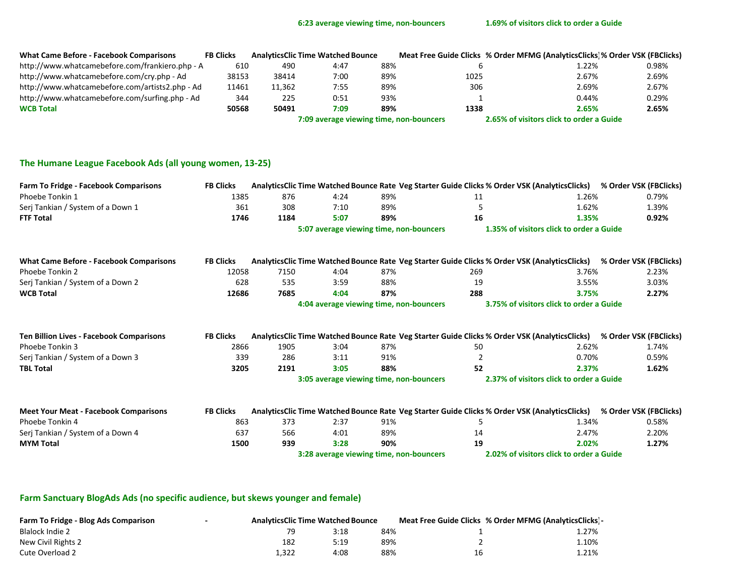| <b>What Came Before - Facebook Comparisons</b>  | <b>FB Clicks</b> |                                         | <b>AnalyticsClic Time Watched Bounce</b> |                                          | Meat Free Guide Clicks % Order MFMG (AnalyticsClicks)% Order VSK (FBClicks) |  |       |       |
|-------------------------------------------------|------------------|-----------------------------------------|------------------------------------------|------------------------------------------|-----------------------------------------------------------------------------|--|-------|-------|
| http://www.whatcamebefore.com/frankiero.php - A | 610              | 490                                     | 4:47                                     | 88%                                      |                                                                             |  | 1.22% | 0.98% |
| http://www.whatcamebefore.com/cry.php - Ad      | 38153            | 38414                                   | 7:00                                     | 89%                                      | 1025                                                                        |  | 2.67% | 2.69% |
| http://www.whatcamebefore.com/artists2.php - Ad | 11461            | 11,362                                  | 7:55                                     | 89%                                      | 306                                                                         |  | 2.69% | 2.67% |
| http://www.whatcamebefore.com/surfing.php - Ad  | 344              | 225                                     | 0:51                                     | 93%                                      |                                                                             |  | 0.44% | 0.29% |
| <b>WCB Total</b>                                | 50568            | 50491                                   | 7:09                                     | 89%                                      | 1338                                                                        |  | 2.65% | 2.65% |
|                                                 |                  | 7:09 average viewing time, non-bouncers |                                          | 2.65% of visitors click to order a Guide |                                                                             |  |       |       |

## The Humane League Facebook Ads (all young women, 13-25)

| <b>Farm To Fridge - Facebook Comparisons</b>    | <b>FB Clicks</b> |      |                                         |     |     |                                          | AnalyticsClic Time Watched Bounce Rate Veg Starter Guide Clicks % Order VSK (AnalyticsClicks) % Order VSK (FBClicks) |
|-------------------------------------------------|------------------|------|-----------------------------------------|-----|-----|------------------------------------------|----------------------------------------------------------------------------------------------------------------------|
| Phoebe Tonkin 1                                 | 1385             | 876  | 4:24                                    | 89% | 11  | 1.26%                                    | 0.79%                                                                                                                |
| Serj Tankian / System of a Down 1               | 361              | 308  | 7:10                                    | 89% |     | 1.62%                                    | 1.39%                                                                                                                |
| <b>FTF Total</b>                                | 1746             | 1184 | 5:07                                    | 89% | 16  | 1.35%                                    | 0.92%                                                                                                                |
|                                                 |                  |      | 5:07 average viewing time, non-bouncers |     |     | 1.35% of visitors click to order a Guide |                                                                                                                      |
| <b>What Came Before - Facebook Comparisons</b>  | <b>FB Clicks</b> |      |                                         |     |     |                                          | AnalyticsClic Time Watched Bounce Rate Veg Starter Guide Clicks % Order VSK (AnalyticsClicks) % Order VSK (FBClicks) |
| Phoebe Tonkin 2                                 | 12058            | 7150 | 4:04                                    | 87% | 269 | 3.76%                                    | 2.23%                                                                                                                |
| Serj Tankian / System of a Down 2               | 628              | 535  | 3:59                                    | 88% | 19  | 3.55%                                    | 3.03%                                                                                                                |
| <b>WCB Total</b>                                | 12686            | 7685 | 4:04                                    | 87% | 288 | 3.75%                                    | 2.27%                                                                                                                |
|                                                 |                  |      | 4:04 average viewing time, non-bouncers |     |     | 3.75% of visitors click to order a Guide |                                                                                                                      |
| <b>Ten Billion Lives - Facebook Comparisons</b> | <b>FB Clicks</b> |      |                                         |     |     |                                          | AnalyticsClic Time Watched Bounce Rate Veg Starter Guide Clicks % Order VSK (AnalyticsClicks) % Order VSK (FBClicks) |
| Phoebe Tonkin 3                                 | 2866             | 1905 | 3:04                                    | 87% | 50  | 2.62%                                    | 1.74%                                                                                                                |
| Serj Tankian / System of a Down 3               | 339              | 286  | 3:11                                    | 91% | 2   | 0.70%                                    | 0.59%                                                                                                                |
| <b>TBL Total</b>                                | 3205             | 2191 | 3:05                                    | 88% | 52  | 2.37%                                    | 1.62%                                                                                                                |
|                                                 |                  |      | 3:05 average viewing time, non-bouncers |     |     | 2.37% of visitors click to order a Guide |                                                                                                                      |
| <b>Meet Your Meat - Facebook Comparisons</b>    | <b>FB Clicks</b> |      |                                         |     |     |                                          | AnalyticsClic Time Watched Bounce Rate Veg Starter Guide Clicks % Order VSK (AnalyticsClicks) % Order VSK (FBClicks) |
| Phoebe Tonkin 4                                 | 863              | 373  | 2:37                                    | 91% |     | 1.34%                                    | 0.58%                                                                                                                |
| Serj Tankian / System of a Down 4               | 637              | 566  | 4:01                                    | 89% | 14  | 2.47%                                    | 2.20%                                                                                                                |
| <b>MYM Total</b>                                | 1500             | 939  | 3:28                                    | 90% | 19  | 2.02%                                    | 1.27%                                                                                                                |
|                                                 |                  |      | 3:28 average viewing time, non-bouncers |     |     | 2.02% of visitors click to order a Guide |                                                                                                                      |

## Farm Sanctuary BlogAds Ads (no specific audience, but skews younger and female)

| Farm To Fridge - Blog Ads Comparison | <b>AnalyticsClic Time Watched Bounce</b> |      |     |    | Meat Free Guide Clicks % Order MFMG (AnalyticsClicks) - |
|--------------------------------------|------------------------------------------|------|-----|----|---------------------------------------------------------|
| Blalock Indie 2                      |                                          | 3:18 | 84% |    | 1.27%                                                   |
| New Civil Rights 2                   | 182                                      | 5:19 | 89% |    | 1.10%                                                   |
| Cute Overload 2                      | L,322                                    | 4:08 | 88% | Τp | 1.21%                                                   |